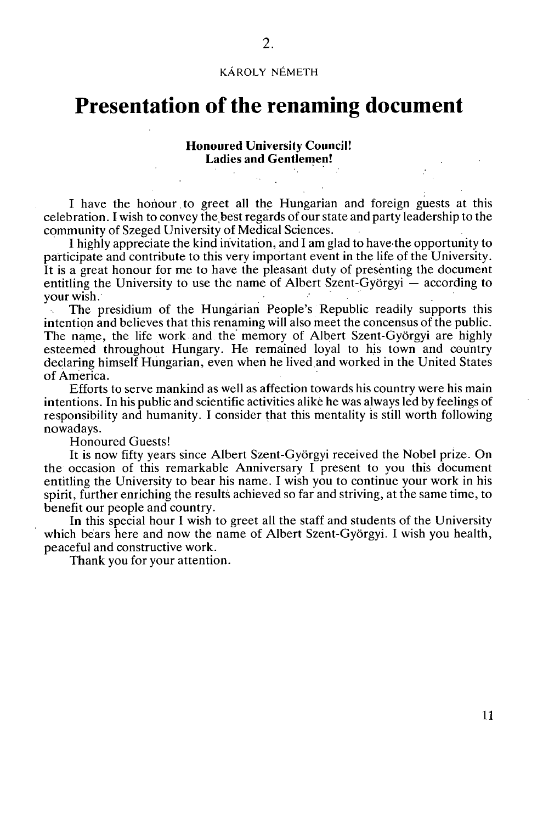## **KÁROLY NÉMETH**

## **Presentation of the renaming document**

## **Honoured University Council! Ladies and Gentlemen!**

I have the honour. to greet all the Hungarian and foreign guests at this celebration. I wish to convey the best regards of our state and party leadership to the community of Szeged University of Medical Sciences.

I highly appreciate the kind invitation, and I am glad to have the opportunity to participate and contribute to this very important event in the life of the University. It is a great honour for me to have the pleasant duty of presenting the document entitling the University to use the name of Albert Szent-Györgyi — according to your wish.

The presidium of the Hungarian People's Republic readily supports this intention and believes that this renaming will also meet the concensus of the public. The name, the life work and the memory of Albert Szent-Györgyi are highly esteemed throughout Hungary. He remained loyal to his town and country declaring himself Hungarian, even when he lived.and worked in the United States of America.

Efforts to serve mankind as well as affection towards his country were his main intentions. In his public and scientific activities alike he was always led by feelings of responsibility and humanity. I consider that this mentality is still worth following nowadays.

Honoured Guests!

It is now fifty years since Albert Szent-Györgyi received the Nobel prize. On the occasion of this remarkable Anniversary I present to you this document entitling the University to bear his name. I wish you to continue your work in his spirit, further enriching the results achieved so far and striving, at the same time, to benefit our people and country.

In this special hour I wish to greet all the staff and students of the University which bears here and now the name of Albert Szent-Györgyi. I wish you health, peaceful and constructive work.

Thank you for your attention.